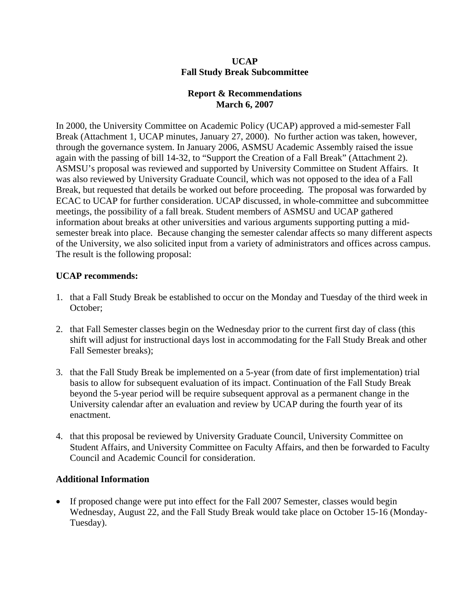#### **UCAP Fall Study Break Subcommittee**

## **Report & Recommendations March 6, 2007**

In 2000, the University Committee on Academic Policy (UCAP) approved a mid-semester Fall Break (Attachment 1, UCAP minutes, January 27, 2000). No further action was taken, however, through the governance system. In January 2006, ASMSU Academic Assembly raised the issue again with the passing of bill 14-32, to "Support the Creation of a Fall Break" (Attachment 2). ASMSU's proposal was reviewed and supported by University Committee on Student Affairs. It was also reviewed by University Graduate Council, which was not opposed to the idea of a Fall Break, but requested that details be worked out before proceeding. The proposal was forwarded by ECAC to UCAP for further consideration. UCAP discussed, in whole-committee and subcommittee meetings, the possibility of a fall break. Student members of ASMSU and UCAP gathered information about breaks at other universities and various arguments supporting putting a midsemester break into place. Because changing the semester calendar affects so many different aspects of the University, we also solicited input from a variety of administrators and offices across campus. The result is the following proposal:

## **UCAP recommends:**

- 1. that a Fall Study Break be established to occur on the Monday and Tuesday of the third week in October;
- 2. that Fall Semester classes begin on the Wednesday prior to the current first day of class (this shift will adjust for instructional days lost in accommodating for the Fall Study Break and other Fall Semester breaks);
- 3. that the Fall Study Break be implemented on a 5-year (from date of first implementation) trial basis to allow for subsequent evaluation of its impact. Continuation of the Fall Study Break beyond the 5-year period will be require subsequent approval as a permanent change in the University calendar after an evaluation and review by UCAP during the fourth year of its enactment.
- 4. that this proposal be reviewed by University Graduate Council, University Committee on Student Affairs, and University Committee on Faculty Affairs, and then be forwarded to Faculty Council and Academic Council for consideration.

## **Additional Information**

• If proposed change were put into effect for the Fall 2007 Semester, classes would begin Wednesday, August 22, and the Fall Study Break would take place on October 15-16 (Monday-Tuesday).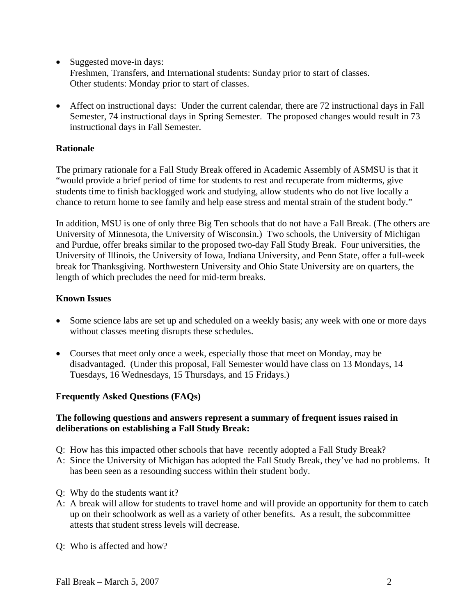• Suggested move-in days:

Freshmen, Transfers, and International students: Sunday prior to start of classes. Other students: Monday prior to start of classes.

• Affect on instructional days: Under the current calendar, there are 72 instructional days in Fall Semester, 74 instructional days in Spring Semester. The proposed changes would result in 73 instructional days in Fall Semester.

# **Rationale**

The primary rationale for a Fall Study Break offered in Academic Assembly of ASMSU is that it "would provide a brief period of time for students to rest and recuperate from midterms, give students time to finish backlogged work and studying, allow students who do not live locally a chance to return home to see family and help ease stress and mental strain of the student body."

In addition, MSU is one of only three Big Ten schools that do not have a Fall Break. (The others are University of Minnesota, the University of Wisconsin.) Two schools, the University of Michigan and Purdue, offer breaks similar to the proposed two-day Fall Study Break. Four universities, the University of Illinois, the University of Iowa, Indiana University, and Penn State, offer a full-week break for Thanksgiving. Northwestern University and Ohio State University are on quarters, the length of which precludes the need for mid-term breaks.

## **Known Issues**

- Some science labs are set up and scheduled on a weekly basis; any week with one or more days without classes meeting disrupts these schedules.
- Courses that meet only once a week, especially those that meet on Monday, may be disadvantaged. (Under this proposal, Fall Semester would have class on 13 Mondays, 14 Tuesdays, 16 Wednesdays, 15 Thursdays, and 15 Fridays.)

## **Frequently Asked Questions (FAQs)**

#### **The following questions and answers represent a summary of frequent issues raised in deliberations on establishing a Fall Study Break:**

- Q: How has this impacted other schools that have recently adopted a Fall Study Break?
- A: Since the University of Michigan has adopted the Fall Study Break, they've had no problems. It has been seen as a resounding success within their student body.
- Q: Why do the students want it?
- A: A break will allow for students to travel home and will provide an opportunity for them to catch up on their schoolwork as well as a variety of other benefits. As a result, the subcommittee attests that student stress levels will decrease.
- Q: Who is affected and how?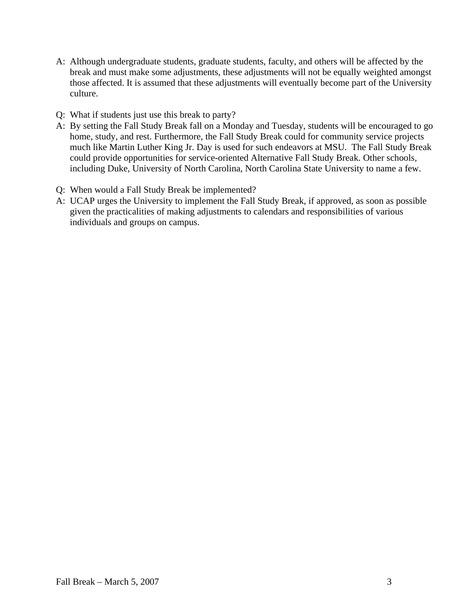- A: Although undergraduate students, graduate students, faculty, and others will be affected by the break and must make some adjustments, these adjustments will not be equally weighted amongst those affected. It is assumed that these adjustments will eventually become part of the University culture.
- Q: What if students just use this break to party?
- A: By setting the Fall Study Break fall on a Monday and Tuesday, students will be encouraged to go home, study, and rest. Furthermore, the Fall Study Break could for community service projects much like Martin Luther King Jr. Day is used for such endeavors at MSU. The Fall Study Break could provide opportunities for service-oriented Alternative Fall Study Break. Other schools, including Duke, University of North Carolina, North Carolina State University to name a few.
- Q: When would a Fall Study Break be implemented?
- A: UCAP urges the University to implement the Fall Study Break, if approved, as soon as possible given the practicalities of making adjustments to calendars and responsibilities of various individuals and groups on campus.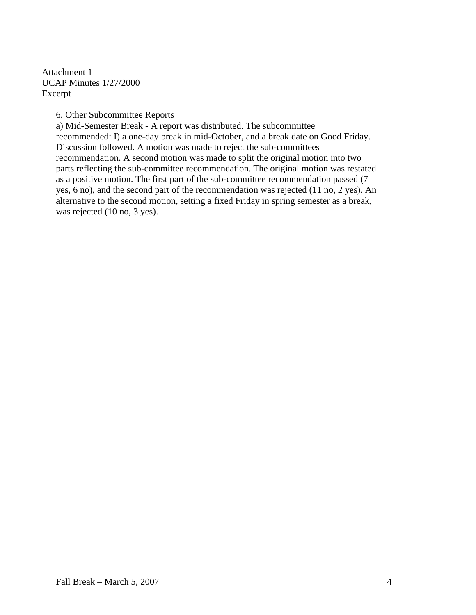Attachment 1 UCAP Minutes 1/27/2000 Excerpt

6. Other Subcommittee Reports

a) Mid-Semester Break - A report was distributed. The subcommittee recommended: I) a one-day break in mid-October, and a break date on Good Friday. Discussion followed. A motion was made to reject the sub-committees recommendation. A second motion was made to split the original motion into two parts reflecting the sub-committee recommendation. The original motion was restated as a positive motion. The first part of the sub-committee recommendation passed (7 yes, 6 no), and the second part of the recommendation was rejected (11 no, 2 yes). An alternative to the second motion, setting a fixed Friday in spring semester as a break, was rejected (10 no, 3 yes).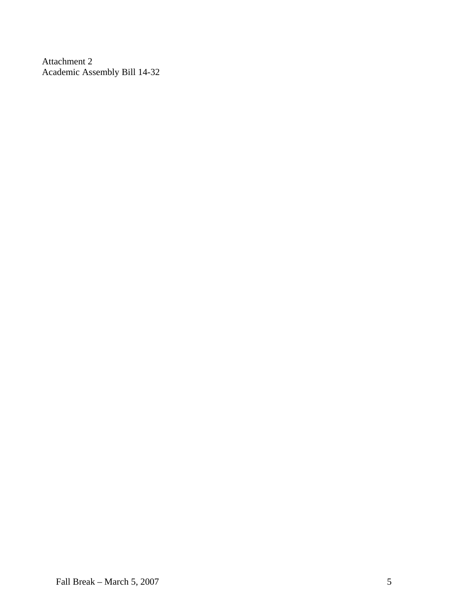Attachment 2 Academic Assembly Bill 14-32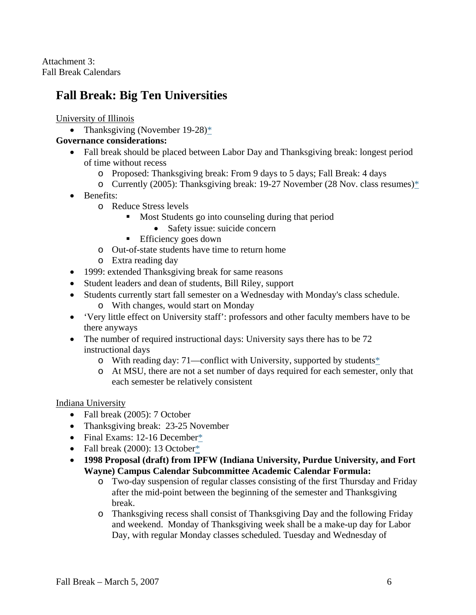Attachment 3: Fall Break Calendars

# **Fall Break: Big Ten Universities**

University of Illinois

• Thanksgiving (November 19-28)[\\*](http://webtools.uiuc.edu/calendar/Search?calId=7&skinId=1&KEYWORDS=Search%20Term&START_DATE=10/28/2005&END_DATE=End%20Date&EVENT_TYPE_ID=32&DATE=10/28/2005&SERVLET=Calendar&PAGE=0&ACTION=VIEW_MONTH)

## **Governance considerations:**

- Fall break should be placed between Labor Day and Thanksgiving break: longest period of time without recess
	- o Proposed: Thanksgiving break: From 9 days to 5 days; Fall Break: 4 days
	- o Currently (2005): Thanksgiving break: 19-27 November (28 Nov. class resumes[\)\\*](http://webtools.uiuc.edu/calendar/Calendar?calId=557&ACTION=VIEW_MONTH&skinId=1&DATE=11/17/2005)
- Benefits:
	- o Reduce Stress levels
		- **Most Students go into counseling during that period** 
			- Safety issue: suicide concern
		- **Efficiency goes down**
	- o Out-of-state students have time to return home
	- o Extra reading day
- 1999: extended Thanksgiving break for same reasons
- Student leaders and dean of students, Bill Riley, support
- Students currently start fall semester on a Wednesday with Monday's class schedule. o With changes, would start on Monday
	-
- 'Very little effect on University staff': professors and other faculty members have to be there anyways
- The number of required instructional days: University says there has to be 72 instructional days
	- o With reading day: 71—conflict with University, supported by students[\\*](http://www.dailyillini.com/media/paper736/news/2005/01/18/News/Ui.Tweaks.Calendar-834157.shtml?norewrite200603171942&sourcedomain=www.dailyillini.com)
	- o At MSU, there are not a set number of days required for each semester, only that each semester be relatively consistent

#### Indiana University

- Fall break (2005): 7 October
- Thanksgiving break: 23-25 November
- Final Exams: 12-16 December[\\*](http://web.indstate.edu/sbadv/CalendarFall2005.pdf#search=)
- Fall break (2000): 13 Octobe[r\\*](http://www.ipfw.edu/senate/minutes/1999-00/cal.htm)
- **1998 Proposal (draft) from IPFW (Indiana University, Purdue University, and Fort Wayne) Campus Calendar Subcommittee Academic Calendar Formula:** 
	- o Two-day suspension of regular classes consisting of the first Thursday and Friday after the mid-point between the beginning of the semester and Thanksgiving break.
	- o Thanksgiving recess shall consist of Thanksgiving Day and the following Friday and weekend. Monday of Thanksgiving week shall be a make-up day for Labor Day, with regular Monday classes scheduled. Tuesday and Wednesday of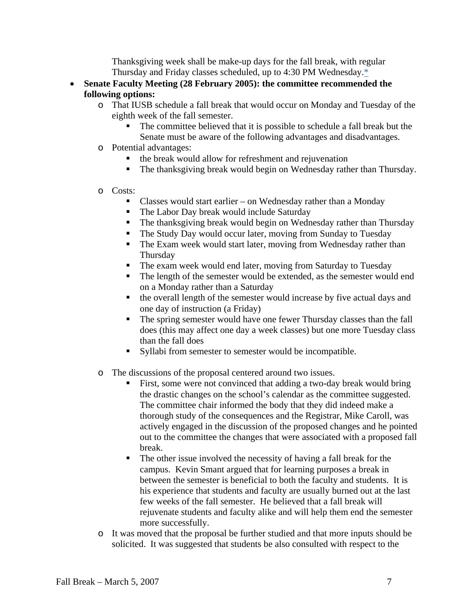Thanksgiving week shall be make-up days for the fall break, with regular Thursday and Friday classes scheduled, up to 4:30 PM Wednesday[.\\*](http://www.ipfw.edu/senate/Referenc/1998-99/SRNO9818.htm)

- **Senate Faculty Meeting (28 February 2005): the committee recommended the following options:** 
	- o That IUSB schedule a fall break that would occur on Monday and Tuesday of the eighth week of the fall semester.
		- The committee believed that it is possible to schedule a fall break but the Senate must be aware of the following advantages and disadvantages.
	- o Potential advantages:
		- the break would allow for refreshment and rejuvenation
		- The thanksgiving break would begin on Wednesday rather than Thursday.

#### o Costs:

- Classes would start earlier on Wednesday rather than a Monday
- The Labor Day break would include Saturday
- The thanksgiving break would begin on Wednesday rather than Thursday
- The Study Day would occur later, moving from Sunday to Tuesday
- The Exam week would start later, moving from Wednesday rather than **Thursday**
- The exam week would end later, moving from Saturday to Tuesday
- The length of the semester would be extended, as the semester would end on a Monday rather than a Saturday
- the overall length of the semester would increase by five actual days and one day of instruction (a Friday)
- The spring semester would have one fewer Thursday classes than the fall does (this may affect one day a week classes) but one more Tuesday class than the fall does
- Syllabi from semester to semester would be incompatible.
- o The discussions of the proposal centered around two issues.
	- First, some were not convinced that adding a two-day break would bring the drastic changes on the school's calendar as the committee suggested. The committee chair informed the body that they did indeed make a thorough study of the consequences and the Registrar, Mike Caroll, was actively engaged in the discussion of the proposed changes and he pointed out to the committee the changes that were associated with a proposed fall break.
	- The other issue involved the necessity of having a fall break for the campus. Kevin Smant argued that for learning purposes a break in between the semester is beneficial to both the faculty and students. It is his experience that students and faculty are usually burned out at the last few weeks of the fall semester. He believed that a fall break will rejuvenate students and faculty alike and will help them end the semester more successfully.
- o It was moved that the proposal be further studied and that more inputs should be solicited. It was suggested that students be also consulted with respect to the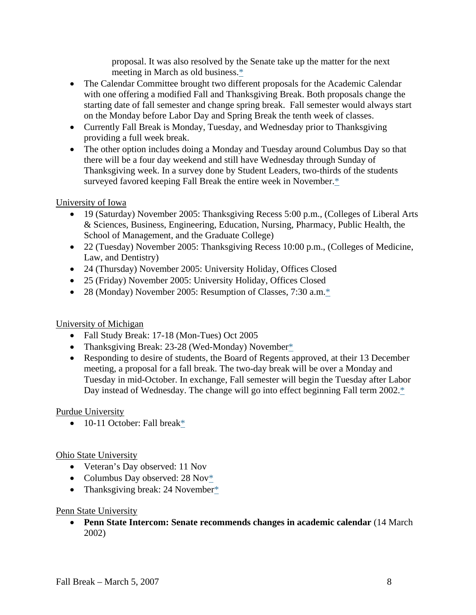proposal. It was also resolved by the Senate take up the matter for the next meeting in March as old business[.\\*](http://www.iusb.edu/%7Esbas/2005Feb18.doc)

- The Calendar Committee brought two different proposals for the Academic Calendar with one offering a modified Fall and Thanksgiving Break. Both proposals change the starting date of fall semester and change spring break. Fall semester would always start on the Monday before Labor Day and Spring Break the tenth week of classes.
- Currently Fall Break is Monday, Tuesday, and Wednesday prior to Thanksgiving providing a full week break.
- The other option includes doing a Monday and Tuesday around Columbus Day so that there will be a four day weekend and still have Wednesday through Sunday of Thanksgiving week. In a survey done by Student Leaders, two-thirds of the students surveyed favored keeping Fall Break the entire week in November[.\\*](http://www.iue.edu/Departments/Faculty_Senate/documents/2003-2004_AgendaMinutes.pdf)

## University of Iowa

- 19 (Saturday) November 2005: Thanksgiving Recess 5:00 p.m., (Colleges of Liberal Arts & Sciences, Business, Engineering, Education, Nursing, Pharmacy, Public Health, the School of Management, and the Graduate College)
- 22 (Tuesday) November 2005: Thanksgiving Recess 10:00 p.m., (Colleges of Medicine, Law, and Dentistry)
- 24 (Thursday) November 2005: University Holiday, Offices Closed
- 25 (Friday) November 2005: University Holiday, Offices Closed
- 28 (Monday) November 2005: Resumption of Classes, 7:30 a.m.<sup>[\\*](http://www.registrar.uiowa.edu/calendars/fiveyearcalendar.aspx)</sup>

# University of Michigan

- Fall Study Break: 17-18 (Mon-Tues) Oct 2005
- Thanksgiving Break: 23-28 (Wed-Monday) Novembe[r\\*](http://www.umich.edu/%7Eregoff/calendar/fa05.html)
- Responding to desire of students, the Board of Regents approved, at their 13 December meeting, a proposal for a fall break. The two-day break will be over a Monday and Tuesday in mid-October. In exchange, Fall semester will begin the Tuesday after Labor Day instead of Wednesday. The change will go into effect beginning Fall term 2002.<sup>[\\*](http://www.umich.edu/%7Eurecord/0102/Dec17_01/5.htm)</sup>

## Purdue University

• 10-11 October: Fall brea[k\\*](http://calendar.purdue.edu/cgi-bin/webevent.cgi?cmd=listmonth&y=2005&m=10&d=17&cat=&sib=1&sort=e,m,t&ws=0&cf=list&set=1&swe=1&sa=0&de=1&tf=0&sb=0&stz=Default&cal=cal6)

# Ohio State University

- Veteran's Day observed: 11 Nov
- Columbus Day observed:  $28 \text{ Nov}^*$
- Thanksgiving break: 24 November[\\*](http://www.ureg.ohio-state.edu/ourweb/more/Content/bigcal.html)

## Penn State University

• **Penn State Intercom: Senate recommends changes in academic calendar** (14 March 2002)